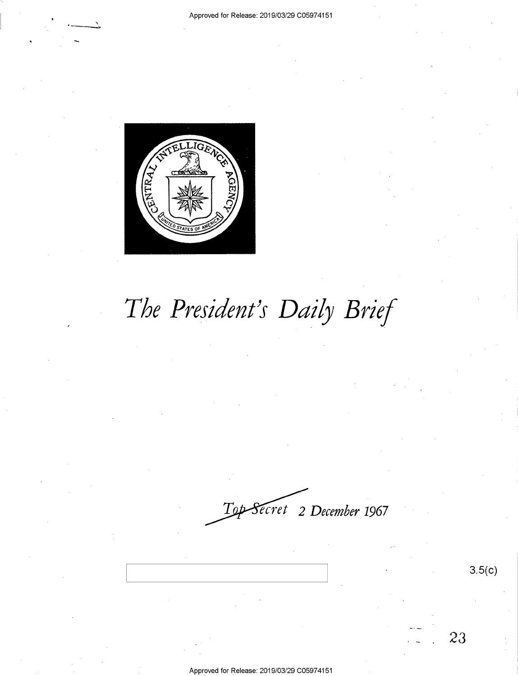

# The President's Daily Brief

*ecret* 2 *December* **1967** 

3.5(c)

23

Approved for Release: 2019/03/29 C05974151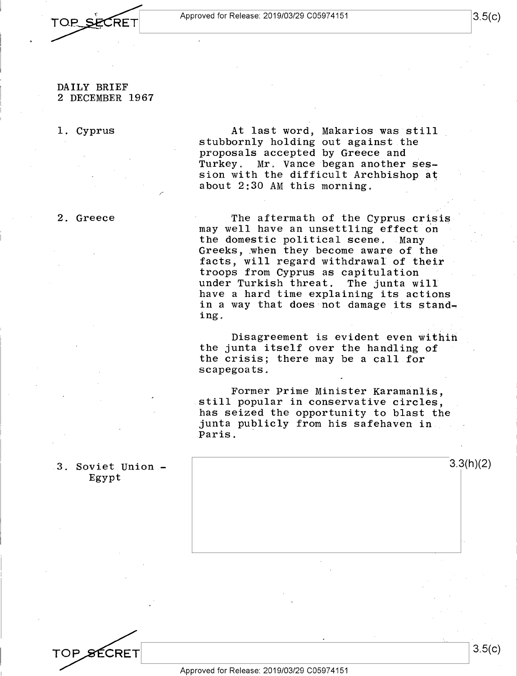TOP S CRET

### DAILY BRIEF 2 DECEMBER 1967

### 1. Cyprus

#### 2. Greece

3. Soviet Union - Egypt

At last word, Makarios was still stubbornly holding out against the proposals accepted by Greece and Turkey. Mr. Vance began another session with the difficult Archbishop at about  $2:30$  AM this morning.

The aftermath of the Cyprus crisis may well have an unsettling effect on the domestic political scene. Many Greeks, when they become aware of the facts, will regard withdrawal of their troops from Cyprus as capitulation under Turkish threat. have a hard time explaining its actions in a way that does not damage its standing.

Disagreement is evident even within the junta itself over the handling of the crisis; there may be a call for scapegoats.

Former Prime Minister Karamanlis, still popular in conservative circles, has seized the opportunity to blast the junta publicly from his safehaven in Paris.

| 3.3(h)(2) |
|-----------|
|           |
|           |
|           |
|           |

3.5(c)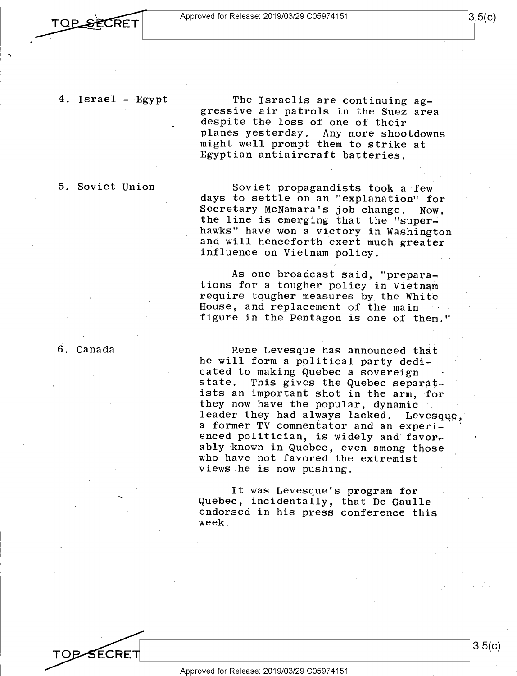**TOP SECRET** 

-.

4. Israel - Egypt

5. Soviet Union

gressive air patrols in the Suez area despite the loss of one of their planes yesterday. Any more shootdowns might well prompt them to strike at Egyptian antiaircraft batteries.

The Israelis are continuing ag-

Soviet propagandists took a few days to settle on an "explanation" for Secretary McNamara's job change. Now, the line is emerging that the "superhawks" have won a victory in Washington and will henceforth exert much greater influence on Vietnam policy.

As one broadcast said, "preparations for a tougher policy in Vietnam require tougher measures by the White House, and replacement of the main figure in the Pentagon is one of them."

Rene Levesque has announced that he will form a political party dedicated to making Quebec a sovereign This gives the Quebec separatists an important shot in the arm, for they now have the popular, dynamic leader they had always lacked. Levesque, a former TV commentator and an experienced politician, is widely and favorably known in Quebec, even among those who have not favored the extremist views he is now pushing.

It was Levesque's program for Quebec, incidentally, that De Gaulle endorsed in his press conference this week.

**TOP-SECRET**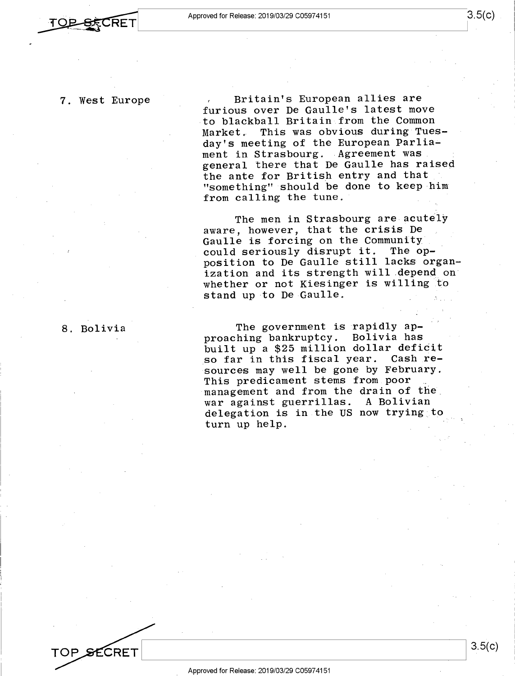7. West Europe

Britain's European allies are furious over De Gaulle's latest move to blackball Britain from the Common Market. This was obvious during Tuesday's meeting of the European Parliament in Strasbourg. Agreement was general there that De Gaulle has raised the ante for British entry and that "something" should be done to keep him from calling the tune.

The men in Strasbourg are acutely aware, however, that the crisis De Gaulle is forcing on the Community could seriously disrupt it. The opposition to De Gaulle still lacks organization and its strength will depend on whether or not Kiesinger is willing to stand up to De Gaulle.

8. Bolivia

TOP SECRET

The government is rapidly approaching bankruptcy. Bolivia has built up a \$25 million dollar deficit<br>so far in this fiscal year. Cash reso far in this fiscal year. sources may well be gone by February. This predicament stems from poor management and from the drain of the war against guerrillas. A Bolivian delegation is in the US now trying to turn up help.

3.5(c)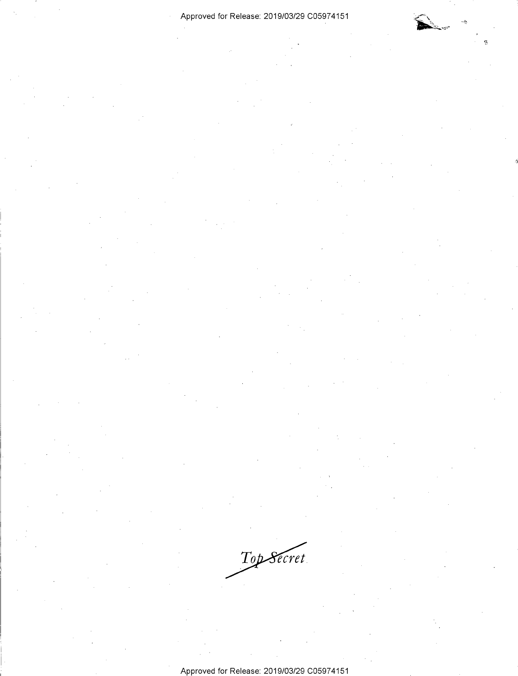### Approved for Release: 2019/03/29 C0597 4151

Top Secret.

Approved for Release: 2019/03/29 C0597 4151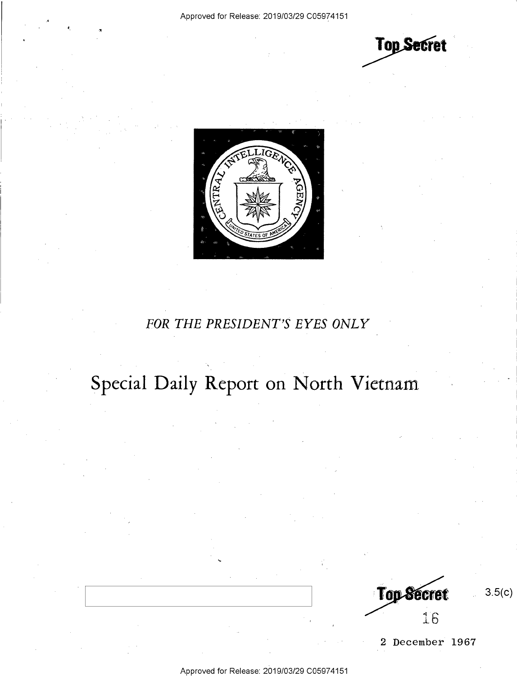**Top Secret** 



### *FOR THE PRESIDENT'S EYES ONLY*

## Special Daily Report on North Vietnam



3.5(c)

2 December 1967

Approved for Release: 2019/03/29 C0597 4151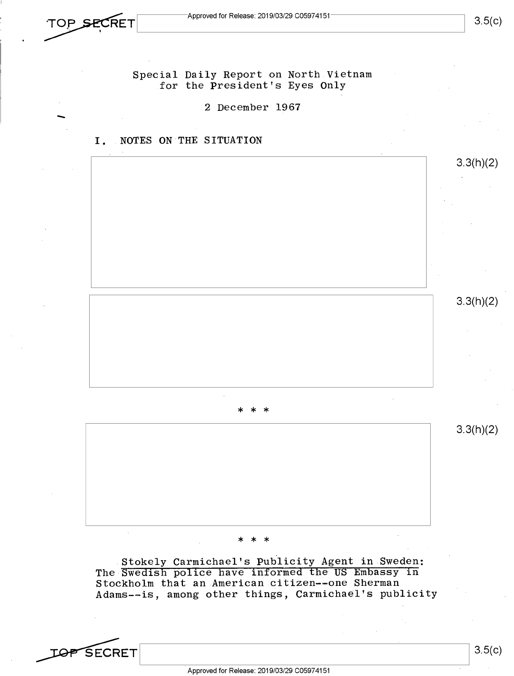.<br>-

Special Daily Report on North Vietnam for the President's Eyes Only

2 December 1967

### I. NOTES ON THE SITUATION



\* \* \*

Stokely Carmichael's Publicity Agent in Sweden: The Swedish police have informed the US Embassy in Stockholm that an American citizen--one Sherman Adams--is, among other things, Carmichael's publicity

*TOP* SECRET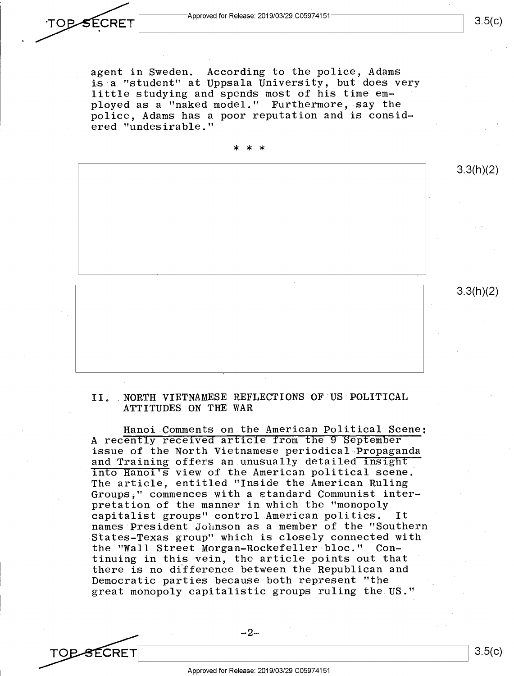TOP SECRET

agent in Sweden. According to the police, Adams is a "student" at Uppsala University, but does very little studying and spends most of his time employed as a "naked model." Furthermore, say the police, Adams has a poor reputation and is considered "undesirable."

\* \* \*

3.3(h)(2)

3.3(h)(2)

### II. NORTH VIETNAMESE REFLECTIONS OF US POLITICAL ATTITUDES ON THE WAR

Hanoi Comments on the American Political Scene: A recently received article from the 9 September issue of the North Vietnamese periodical Propaganda and Training offers an unusually detailed insight into Hanoi's view of the American political scene. The article, entitled "Inside the American Ruling Groups," commences with a standard Communist interpretation of the manner in which the "monopoly capitalist groups" control American politics. It names President Johnson as a member of the "Southern States-Texas group" which is closely connected with the "Wall Street Morgan-Rockefeller bloc." tinuing in this vein, the article points out that there is no difference between the Republican and Democratic parties because both represent "the great monopoly capitalistic groups ruling the US."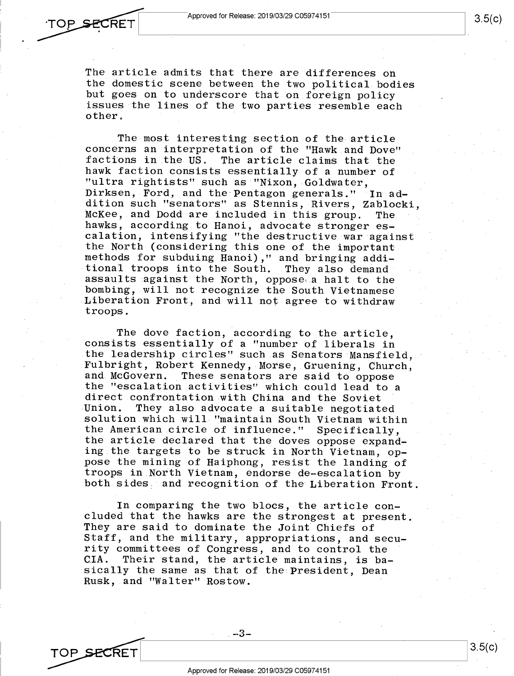TOP SECRET

TOP SECRET

The article admits that there are differences on the domestic scene between the two political bodies but goes on to underscore that on foreign policy issues the lines of the two parties resemble each other.

The most interesting section of the article concerns an interpretation of the "Hawk and Dove" factions in the US. The article claims that the hawk faction consists essentially of a number of "ultra rightists" such as "Nixon, Goldwater, Dirksen, Ford, and the·Pentagon generals." In addition such "senators" as Stennis, Rivers, Zablocki, McKee, and Dodd are included in this group. The hawks, according to Hanoi, advocate stronger escalation, intensifying "the destructive war against the North (considering this one of the important methods for subduing Hanoi)," and bringing additional troops into the South. They also demand assaults against the North, oppose a halt to the bombing, will not recognize the South Vietnamese Liberation Front, and will not agree to withdraw troops.

The dove faction, according to the article, consists essentially of a "number of liberals in the leadership circles" such as Senators Mansfield. Fulbright, Robert Kennedy, Morse, Gruening, Church, These senators are said to oppose the "escalation activities" which could lead to <sup>a</sup> direct confrontation with China and the Soviet Union. They also advocate a suitable negotiated solution which will "maintain South Vietnam within the American circle of influence." Specifically, the article declared that the doves oppose expanding the targets to be struck in North Vietnam, oppose the mining of Haiphong, resist the landing of troops in North Vietnam, endorse de-escalation by both sides and recognition of the Liberation Front.

In comparing the two blocs, the article concluded that the hawks are the strongest at present. They are said to dominate the Joint Chiefs of Staff, and the military, appropriations, and security committees of Congress, and to control the CIA. Their stand, the article maintains, is basically the same as that of the President, Dean Rusk, and "Walter" Rostow.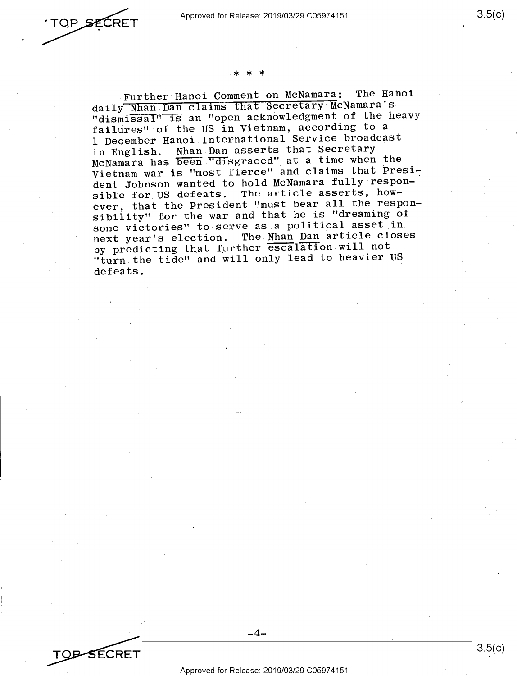3.5(c)

3.5(c)



### \* \* \*

Further Hanoi Comment on McNamara: The Hahoi daily Nhan Dan claims that Secretary McNamara'& . "dismissal" is an "open acknowledgment of the heavy failures" of the US in Vietnam, according to <sup>a</sup> <sup>1</sup>December Hanoi International Service broadcast in English. Nhan Dan asserts that Secretary McNamara has been "disgraced" at a time when the Vietnam war is "most fierce" and claims that President Johnson wanted to hold McNamara fully responsible for US defeats. The article asserts, however, that the President "must bear all the responsibility" for the war and that he is "dreaming of some victories" to serve as.a political asset in next year's election. The Nhan Dan article closes by predicting that further escalation will not "turn the tide" and will only lead to heavier US defeats.

<sup>~</sup>~-~:-----:----=----=---:------------------\_\_J Approved for Release: 2019/03/29 C0597 4151